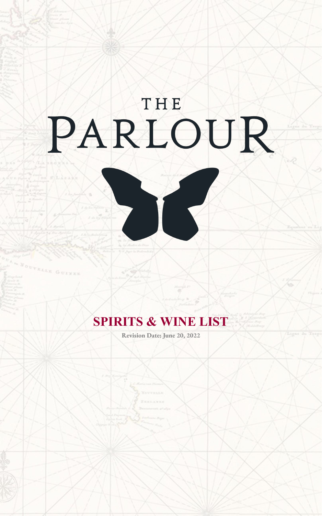# PARLOUR

DC.

## **SPIRITS & WINE LIST**

ELLE GUINE

**Revision Date: June 20, 2022**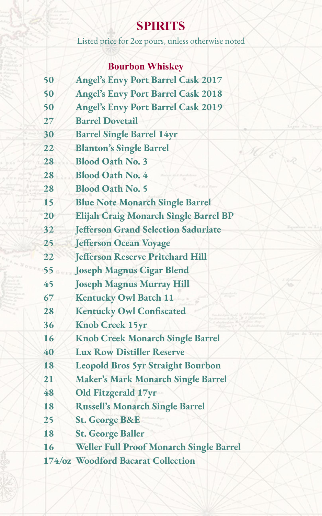# **SPIRITS**

Listed price for 2oz pours, unless otherwise noted

## **Bourbon Whiskey**

| 50              | <b>Angel's Envy Port Barrel Cask 2017</b>  |
|-----------------|--------------------------------------------|
| 50              | <b>Angel's Envy Port Barrel Cask 2018</b>  |
| 50              | <b>Angel's Envy Port Barrel Cask 2019</b>  |
| 27              | <b>Barrel Dovetail</b>                     |
| 30              | <b>Barrel Single Barrel 14yr</b>           |
| 22              | <b>Blanton's Single Barrel</b>             |
| 28              | <b>Blood Oath No. 3</b>                    |
| 28              | <b>Blood Oath No. 4</b>                    |
| 28              | <b>Blood Oath No. 5</b>                    |
| 15              | <b>Blue Note Monarch Single Barrel</b>     |
| 20              | Elijah Craig Monarch Single Barrel BP      |
| 32              | <b>Jefferson Grand Selection Saduriate</b> |
| 25              | <b>Jefferson Ocean Voyage</b>              |
| 22              | <b>Jefferson Reserve Pritchard Hill</b>    |
| 55 <sub>o</sub> | <b>Joseph Magnus Cigar Blend</b>           |
| 45              | <b>Joseph Magnus Murray Hill</b>           |
| 67              | <b>Kentucky Owl Batch 11</b>               |
| 28              | <b>Kentucky Owl Confiscated</b>            |
| 36              | <b>Knob Creek 15yr</b>                     |
| 16              | <b>Knob Creek Monarch Single Barrel</b>    |
| 40              | <b>Lux Row Distiller Reserve</b>           |
| 18              | <b>Leopold Bros 5yr Straight Bourbon</b>   |
| 21              | <b>Maker's Mark Monarch Single Barrel</b>  |
| 48              | Old Fitzgerald 17yr                        |
| 18              | <b>Russell's Monarch Single Barrel</b>     |
| 25              | <b>St. George B&amp;E</b>                  |
| 18              | <b>St. George Baller</b>                   |
| 16              | Weller Full Proof Monarch Single Barrel    |
|                 | 174/oz Woodford Bacarat Collection         |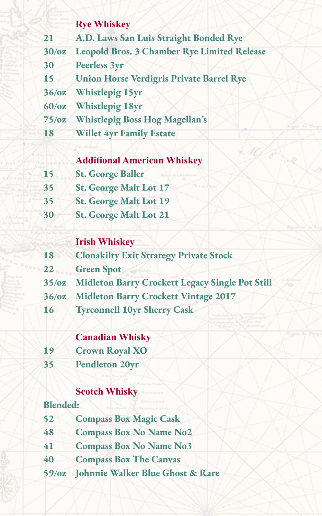#### **Rye Whiskey**

- **21 A.D. Laws San Luis Straight Bonded Rye**
- **30/oz Leopold Bros. 3 Chamber Rye Limited Release**
- **30 Peerless 3yr**
- **15 Union Horse Verdigris Private Barrel Rye**
- **36/oz Whistlepig 15yr**
- **60/oz Whistlepig 18yr**
- **75/oz Whistlepig Boss Hog Magellan's**
- **18 Willet 4yr Family Estate**

#### **Additional American Whiskey**

- **15 St. George Baller**
- **35 St. George Malt Lot 17**
- **35 St. George Malt Lot 19**
- **30 St. George Malt Lot 21**

#### **Irish Whiskey**

- **18 Clonakilty Exit Strategy Private Stock**
- **22 Green Spot**
- **35/oz Midleton Barry Crockett Legacy Single Pot Still**
- **36/oz Midleton Barry Crockett Vintage 2017**
- **16 Tyrconnell 10yr Sherry Cask**

#### **Canadian Whisky**

- **19 Crown Royal XO**
- **35 Pendleton 20yr**

#### **Scotch Whisky**

#### **Blended:**

- **52 Compass Box Magic Cask**
- **48 Compass Box No Name No2**
- **41 Compass Box No Name No3**
- **40 Compass Box The Canvas**
- **59/oz Johnnie Walker Blue Ghost & Rare**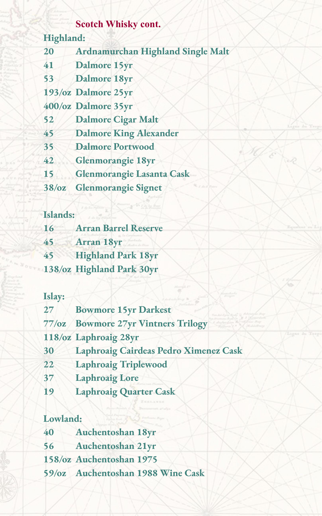#### **Scotch Whisky cont.**

#### **Highland:**

**20 Ardnamurchan Highland Single Malt**

- **41 Dalmore 15yr**
- **53 Dalmore 18yr**
- **193/oz Dalmore 25yr**
- **400/oz Dalmore 35yr**
- **52 Dalmore Cigar Malt**
- **45 Dalmore King Alexander**
- **35 Dalmore Portwood**
- **42 Glenmorangie 18yr**
- **15 Glenmorangie Lasanta Cask**
- **38/oz Glenmorangie Signet**

## **Islands:**

| 16 | <b>Arran Barrel Reserve</b> |
|----|-----------------------------|
| 45 | <b>Arran 18yr</b>           |
| 45 | <b>Highland Park 18yr</b>   |
|    | 138/oz Highland Park 30yr   |

#### **Islay:**

| 27             | <b>Bowmore 15yr Darkest</b>           |
|----------------|---------------------------------------|
| $77/\text{o}z$ | <b>Bowmore 27yr Vintners Trilogy</b>  |
|                | 118/oz Laphroaig 28yr                 |
| 30             | Laphroaig Cairdeas Pedro Ximenez Cask |
| 22             | <b>Laphroaig Triplewood</b>           |
| 37             | <b>Laphroaig Lore</b>                 |
| 19             | <b>Laphroaig Quarter Cask</b>         |

### **Lowland:**

| 40 | <b>Auchentoshan 18yr</b> |
|----|--------------------------|
| 56 | Auchentoshan 21yr        |
|    | 158/oz Auchentoshan 1975 |
|    |                          |

**59/oz Auchentoshan 1988 Wine Cask**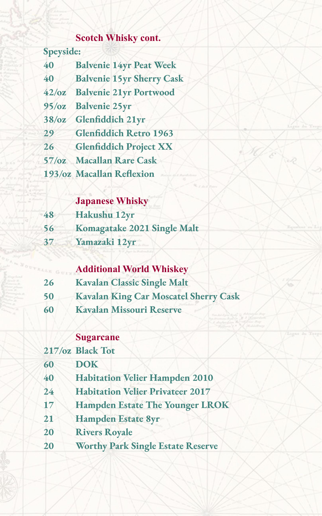## **Scotch Whisky cont.**

| Speyside:      |                                  |
|----------------|----------------------------------|
| 40             | <b>Balvenie 14yr Peat Week</b>   |
| 40             | <b>Balvenie 15yr Sherry Cask</b> |
|                | 42/oz Balvenie 21yr Portwood     |
| 95/cz          | <b>Balvenie 25yr</b>             |
| 38/cz          | Glenfiddich 21yr                 |
| 29             | <b>Glenfiddich Retro 1963</b>    |
| 26             | <b>Glenfiddich Project XX</b>    |
| $57/\text{oz}$ | <b>Macallan Rare Cask</b>        |
|                | 193/oz Macallan Reflexion        |

## **Japanese Whisky**

| 48 | Hakushu 12yr                |
|----|-----------------------------|
| 56 | Komagatake 2021 Single Malt |
| 37 | Yamazaki 12yr               |

#### **Additional World Whiskey**

- **Kavalan Classic Single Malt**
- **Kavalan King Car Moscatel Sherry Cask**
- **Kavalan Missouri Reserve**

#### **Sugarcane**

|          | 217/oz Black Tot                         |
|----------|------------------------------------------|
| 60       | <b>DOK</b>                               |
| 40       | <b>Habitation Velier Hampden 2010</b>    |
| $24^{1}$ | <b>Habitation Velier Privateer 2017</b>  |
| 17       | <b>Hampden Estate The Younger LROK</b>   |
| 21       | <b>Hampden Estate 8yr</b>                |
| 20       | <b>Rivers Royale</b>                     |
| 20       | <b>Worthy Park Single Estate Reserve</b> |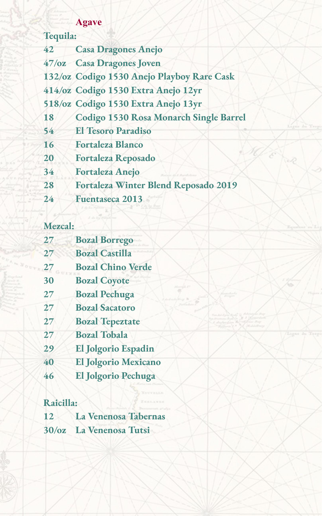## **Agave**

| Tequila: |                                            |
|----------|--------------------------------------------|
| 42       | <b>Casa Dragones Anejo</b>                 |
|          | 47/oz Casa Dragones Joven                  |
|          | 132/oz Codigo 1530 Anejo Playboy Rare Cask |
|          | 414/oz Codigo 1530 Extra Anejo 12yr        |
|          | 518/oz Codigo 1530 Extra Anejo 13yr        |
| 18       | Codigo 1530 Rosa Monarch Single Barrel     |
| 54       | <b>El Tesoro Paradiso</b>                  |
| 16       | <b>Fortaleza Blanco</b>                    |
| 20       | <b>Fortaleza Reposado</b>                  |
| 34       | <b>Fortaleza Anejo</b>                     |
| 28       | Fortaleza Winter Blend Reposado 2019       |
| 24       | <b>Fuentaseca 2013</b>                     |

## **Mezcal:**

| 27 | <b>Bozal Borrego</b>       |
|----|----------------------------|
| 27 | <b>Bozal Castilla</b>      |
| 27 | <b>Bozal Chino Verde</b>   |
| 30 | <b>Bozal Coyote</b>        |
| 27 | <b>Bozal Pechuga</b>       |
| 27 | <b>Bozal Sacatoro</b>      |
| 27 | <b>Bozal Tepeztate</b>     |
| 27 | <b>Bozal Tobala</b>        |
| 29 | <b>El Jolgorio Espadin</b> |
| 40 | El Jolgorio Mexicano       |
| 46 | El Jolgorio Pechuga        |
|    |                            |

# **Raicilla:**

| 12 | La Venenosa Tabernas    |
|----|-------------------------|
|    | 30/oz La Venenosa Tutsi |